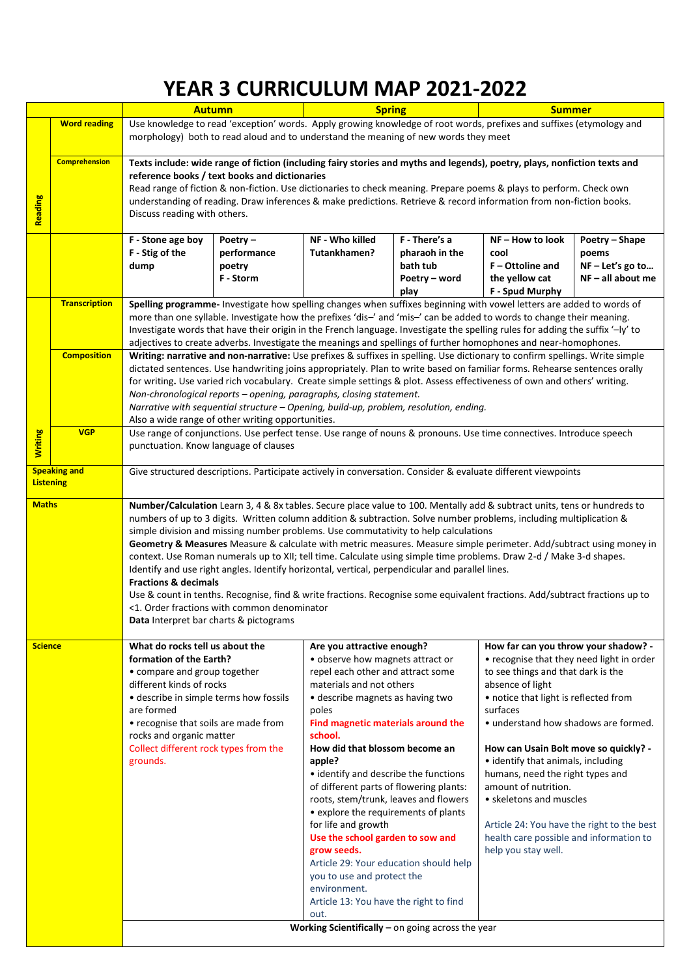## **YEAR 3 CURRICULUM MAP 2021-2022**

|                                         |                      | <b>Autumn</b>                                                                                                                                                                                                                                                                                                                                                                                                                                                                                                                                                                                                                                                                                                                                                                                                                                                                                                                                      |                                                  | <b>Spring</b>                                                                                                                                                                                                                                                                                                                                                                                                                                                                                                                                                                                                                                                      |                                                                      | <b>Summer</b>                                                                                                                                                                                                                                                                                                                                                                                                                                                                                                                  |                                                                      |  |  |
|-----------------------------------------|----------------------|----------------------------------------------------------------------------------------------------------------------------------------------------------------------------------------------------------------------------------------------------------------------------------------------------------------------------------------------------------------------------------------------------------------------------------------------------------------------------------------------------------------------------------------------------------------------------------------------------------------------------------------------------------------------------------------------------------------------------------------------------------------------------------------------------------------------------------------------------------------------------------------------------------------------------------------------------|--------------------------------------------------|--------------------------------------------------------------------------------------------------------------------------------------------------------------------------------------------------------------------------------------------------------------------------------------------------------------------------------------------------------------------------------------------------------------------------------------------------------------------------------------------------------------------------------------------------------------------------------------------------------------------------------------------------------------------|----------------------------------------------------------------------|--------------------------------------------------------------------------------------------------------------------------------------------------------------------------------------------------------------------------------------------------------------------------------------------------------------------------------------------------------------------------------------------------------------------------------------------------------------------------------------------------------------------------------|----------------------------------------------------------------------|--|--|
|                                         | <b>Word reading</b>  | Use knowledge to read 'exception' words. Apply growing knowledge of root words, prefixes and suffixes (etymology and<br>morphology) both to read aloud and to understand the meaning of new words they meet                                                                                                                                                                                                                                                                                                                                                                                                                                                                                                                                                                                                                                                                                                                                        |                                                  |                                                                                                                                                                                                                                                                                                                                                                                                                                                                                                                                                                                                                                                                    |                                                                      |                                                                                                                                                                                                                                                                                                                                                                                                                                                                                                                                |                                                                      |  |  |
| <b>Reading</b>                          | <b>Comprehension</b> | Texts include: wide range of fiction (including fairy stories and myths and legends), poetry, plays, nonfiction texts and<br>reference books / text books and dictionaries<br>Read range of fiction & non-fiction. Use dictionaries to check meaning. Prepare poems & plays to perform. Check own<br>understanding of reading. Draw inferences & make predictions. Retrieve & record information from non-fiction books.<br>Discuss reading with others.                                                                                                                                                                                                                                                                                                                                                                                                                                                                                           |                                                  |                                                                                                                                                                                                                                                                                                                                                                                                                                                                                                                                                                                                                                                                    |                                                                      |                                                                                                                                                                                                                                                                                                                                                                                                                                                                                                                                |                                                                      |  |  |
|                                         |                      | F - Stone age boy<br>F - Stig of the<br>dump                                                                                                                                                                                                                                                                                                                                                                                                                                                                                                                                                                                                                                                                                                                                                                                                                                                                                                       | Poetry $-$<br>performance<br>poetry<br>F - Storm | NF - Who killed<br>Tutankhamen?                                                                                                                                                                                                                                                                                                                                                                                                                                                                                                                                                                                                                                    | F - There's a<br>pharaoh in the<br>bath tub<br>Poetry - word<br>play | NF-How to look<br>cool<br>F - Ottoline and<br>the yellow cat<br>F - Spud Murphy                                                                                                                                                                                                                                                                                                                                                                                                                                                | Poetry - Shape<br>poems<br>$NF - Let's go to$<br>$NF - all about me$ |  |  |
|                                         | <b>Transcription</b> | Spelling programme- Investigate how spelling changes when suffixes beginning with vowel letters are added to words of<br>more than one syllable. Investigate how the prefixes 'dis-' and 'mis-' can be added to words to change their meaning.<br>Investigate words that have their origin in the French language. Investigate the spelling rules for adding the suffix '-ly' to<br>adjectives to create adverbs. Investigate the meanings and spellings of further homophones and near-homophones.                                                                                                                                                                                                                                                                                                                                                                                                                                                |                                                  |                                                                                                                                                                                                                                                                                                                                                                                                                                                                                                                                                                                                                                                                    |                                                                      |                                                                                                                                                                                                                                                                                                                                                                                                                                                                                                                                |                                                                      |  |  |
|                                         | <b>Composition</b>   | Writing: narrative and non-narrative: Use prefixes & suffixes in spelling. Use dictionary to confirm spellings. Write simple<br>dictated sentences. Use handwriting joins appropriately. Plan to write based on familiar forms. Rehearse sentences orally<br>for writing. Use varied rich vocabulary. Create simple settings & plot. Assess effectiveness of own and others' writing.<br>Non-chronological reports - opening, paragraphs, closing statement.<br>Narrative with sequential structure - Opening, build-up, problem, resolution, ending.<br>Also a wide range of other writing opportunities.                                                                                                                                                                                                                                                                                                                                         |                                                  |                                                                                                                                                                                                                                                                                                                                                                                                                                                                                                                                                                                                                                                                    |                                                                      |                                                                                                                                                                                                                                                                                                                                                                                                                                                                                                                                |                                                                      |  |  |
| <b>Writing</b>                          | <b>VGP</b>           | Use range of conjunctions. Use perfect tense. Use range of nouns & pronouns. Use time connectives. Introduce speech<br>punctuation. Know language of clauses                                                                                                                                                                                                                                                                                                                                                                                                                                                                                                                                                                                                                                                                                                                                                                                       |                                                  |                                                                                                                                                                                                                                                                                                                                                                                                                                                                                                                                                                                                                                                                    |                                                                      |                                                                                                                                                                                                                                                                                                                                                                                                                                                                                                                                |                                                                      |  |  |
| <b>Speaking and</b><br><b>Listening</b> |                      | Give structured descriptions. Participate actively in conversation. Consider & evaluate different viewpoints                                                                                                                                                                                                                                                                                                                                                                                                                                                                                                                                                                                                                                                                                                                                                                                                                                       |                                                  |                                                                                                                                                                                                                                                                                                                                                                                                                                                                                                                                                                                                                                                                    |                                                                      |                                                                                                                                                                                                                                                                                                                                                                                                                                                                                                                                |                                                                      |  |  |
| <b>Maths</b>                            |                      | Number/Calculation Learn 3, 4 & 8x tables. Secure place value to 100. Mentally add & subtract units, tens or hundreds to<br>numbers of up to 3 digits. Written column addition & subtraction. Solve number problems, including multiplication &<br>simple division and missing number problems. Use commutativity to help calculations<br>Geometry & Measures Measure & calculate with metric measures. Measure simple perimeter. Add/subtract using money in<br>context. Use Roman numerals up to XII; tell time. Calculate using simple time problems. Draw 2-d / Make 3-d shapes.<br>Identify and use right angles. Identify horizontal, vertical, perpendicular and parallel lines.<br><b>Fractions &amp; decimals</b><br>Use & count in tenths. Recognise, find & write fractions. Recognise some equivalent fractions. Add/subtract fractions up to<br><1. Order fractions with common denominator<br>Data Interpret bar charts & pictograms |                                                  |                                                                                                                                                                                                                                                                                                                                                                                                                                                                                                                                                                                                                                                                    |                                                                      |                                                                                                                                                                                                                                                                                                                                                                                                                                                                                                                                |                                                                      |  |  |
| <b>Science</b>                          |                      | What do rocks tell us about the<br>formation of the Earth?<br>• compare and group together<br>different kinds of rocks<br>• describe in simple terms how fossils<br>are formed<br>• recognise that soils are made from<br>rocks and organic matter<br>Collect different rock types from the<br>grounds.                                                                                                                                                                                                                                                                                                                                                                                                                                                                                                                                                                                                                                            |                                                  | Are you attractive enough?<br>· observe how magnets attract or<br>repel each other and attract some<br>materials and not others<br>• describe magnets as having two<br>poles<br>Find magnetic materials around the<br>school.<br>How did that blossom become an<br>apple?<br>• identify and describe the functions<br>of different parts of flowering plants:<br>roots, stem/trunk, leaves and flowers<br>• explore the requirements of plants<br>for life and growth<br>Use the school garden to sow and<br>grow seeds.<br>Article 29: Your education should help<br>you to use and protect the<br>environment.<br>Article 13: You have the right to find<br>out. |                                                                      | How far can you throw your shadow? -<br>• recognise that they need light in order<br>to see things and that dark is the<br>absence of light<br>• notice that light is reflected from<br>surfaces<br>• understand how shadows are formed.<br>How can Usain Bolt move so quickly? -<br>• identify that animals, including<br>humans, need the right types and<br>amount of nutrition.<br>• skeletons and muscles<br>Article 24: You have the right to the best<br>health care possible and information to<br>help you stay well. |                                                                      |  |  |
|                                         |                      | Working Scientifically $-$ on going across the year                                                                                                                                                                                                                                                                                                                                                                                                                                                                                                                                                                                                                                                                                                                                                                                                                                                                                                |                                                  |                                                                                                                                                                                                                                                                                                                                                                                                                                                                                                                                                                                                                                                                    |                                                                      |                                                                                                                                                                                                                                                                                                                                                                                                                                                                                                                                |                                                                      |  |  |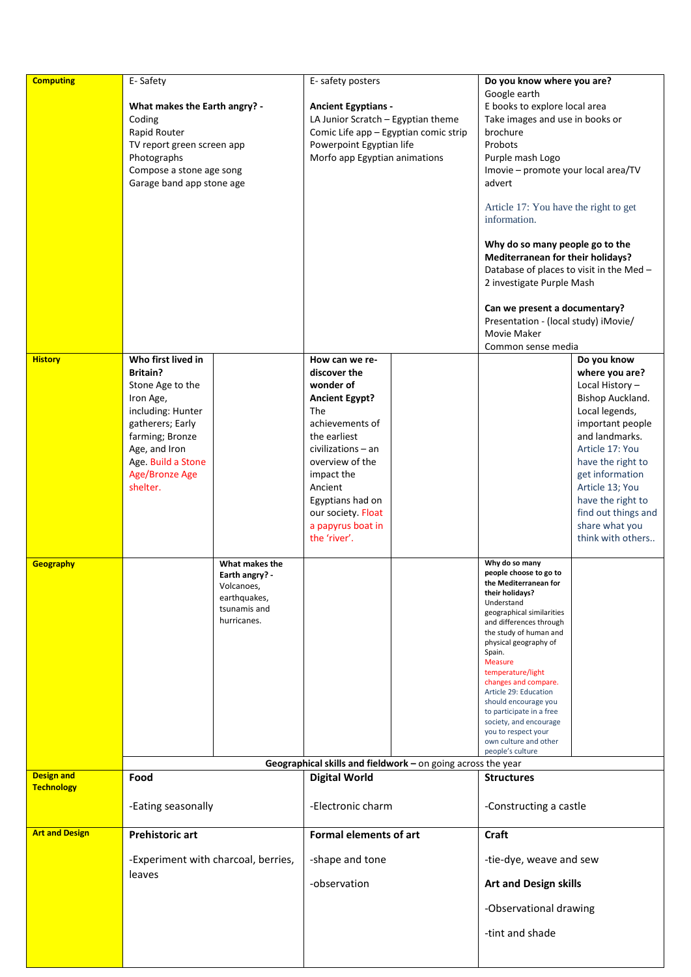| <b>Computing</b>      | E-Safety<br>What makes the Earth angry? -<br>Coding<br>Rapid Router<br>TV report green screen app<br>Photographs<br>Compose a stone age song<br>Garage band app stone age                               |                                                                                               | E-safety posters<br><b>Ancient Egyptians -</b><br>LA Junior Scratch - Egyptian theme<br>Comic Life app - Egyptian comic strip<br>Powerpoint Egyptian life<br>Morfo app Egyptian animations                                                                      |  | Do you know where you are?<br>Google earth<br>E books to explore local area<br>Take images and use in books or<br>brochure<br>Probots<br>Purple mash Logo<br>Imovie - promote your local area/TV<br>advert<br>Article 17: You have the right to get<br>information.<br>Why do so many people go to the<br>Mediterranean for their holidays?<br>Database of places to visit in the Med -<br>2 investigate Purple Mash<br>Can we present a documentary?<br>Presentation - (local study) iMovie/<br>Movie Maker<br>Common sense media |                                                                                                                                                                                                                                                                                              |
|-----------------------|---------------------------------------------------------------------------------------------------------------------------------------------------------------------------------------------------------|-----------------------------------------------------------------------------------------------|-----------------------------------------------------------------------------------------------------------------------------------------------------------------------------------------------------------------------------------------------------------------|--|------------------------------------------------------------------------------------------------------------------------------------------------------------------------------------------------------------------------------------------------------------------------------------------------------------------------------------------------------------------------------------------------------------------------------------------------------------------------------------------------------------------------------------|----------------------------------------------------------------------------------------------------------------------------------------------------------------------------------------------------------------------------------------------------------------------------------------------|
| <b>History</b>        | Who first lived in<br><b>Britain?</b><br>Stone Age to the<br>Iron Age,<br>including: Hunter<br>gatherers; Early<br>farming; Bronze<br>Age, and Iron<br>Age. Build a Stone<br>Age/Bronze Age<br>shelter. |                                                                                               | How can we re-<br>discover the<br>wonder of<br><b>Ancient Egypt?</b><br>The<br>achievements of<br>the earliest<br>civilizations - an<br>overview of the<br>impact the<br>Ancient<br>Egyptians had on<br>our society. Float<br>a papyrus boat in<br>the 'river'. |  |                                                                                                                                                                                                                                                                                                                                                                                                                                                                                                                                    | Do you know<br>where you are?<br>Local History-<br>Bishop Auckland.<br>Local legends,<br>important people<br>and landmarks.<br>Article 17: You<br>have the right to<br>get information<br>Article 13; You<br>have the right to<br>find out things and<br>share what you<br>think with others |
| Geography             |                                                                                                                                                                                                         | What makes the<br>Earth angry? -<br>Volcanoes,<br>earthquakes,<br>tsunamis and<br>hurricanes. |                                                                                                                                                                                                                                                                 |  | Why do so many<br>people choose to go to<br>the Mediterranean for<br>their holidays?<br>Understand<br>geographical similarities<br>and differences through<br>the study of human and<br>physical geography of<br>Spain.<br><b>Measure</b><br>temperature/light<br>changes and compare.<br>Article 29: Education<br>should encourage you<br>to participate in a free<br>society, and encourage<br>you to respect your<br>own culture and other<br>people's culture                                                                  |                                                                                                                                                                                                                                                                                              |
| <b>Design and</b>     | Food                                                                                                                                                                                                    |                                                                                               | Geographical skills and fieldwork - on going across the year<br><b>Digital World</b>                                                                                                                                                                            |  | <b>Structures</b>                                                                                                                                                                                                                                                                                                                                                                                                                                                                                                                  |                                                                                                                                                                                                                                                                                              |
| <b>Technology</b>     | -Eating seasonally                                                                                                                                                                                      |                                                                                               | -Electronic charm                                                                                                                                                                                                                                               |  | -Constructing a castle                                                                                                                                                                                                                                                                                                                                                                                                                                                                                                             |                                                                                                                                                                                                                                                                                              |
| <b>Art and Design</b> | <b>Prehistoric art</b><br>-Experiment with charcoal, berries,<br>leaves                                                                                                                                 |                                                                                               | <b>Formal elements of art</b>                                                                                                                                                                                                                                   |  | <b>Craft</b>                                                                                                                                                                                                                                                                                                                                                                                                                                                                                                                       |                                                                                                                                                                                                                                                                                              |
|                       |                                                                                                                                                                                                         |                                                                                               | -shape and tone<br>-observation                                                                                                                                                                                                                                 |  | -tie-dye, weave and sew<br><b>Art and Design skills</b><br>-Observational drawing                                                                                                                                                                                                                                                                                                                                                                                                                                                  |                                                                                                                                                                                                                                                                                              |
|                       |                                                                                                                                                                                                         |                                                                                               |                                                                                                                                                                                                                                                                 |  | -tint and shade                                                                                                                                                                                                                                                                                                                                                                                                                                                                                                                    |                                                                                                                                                                                                                                                                                              |